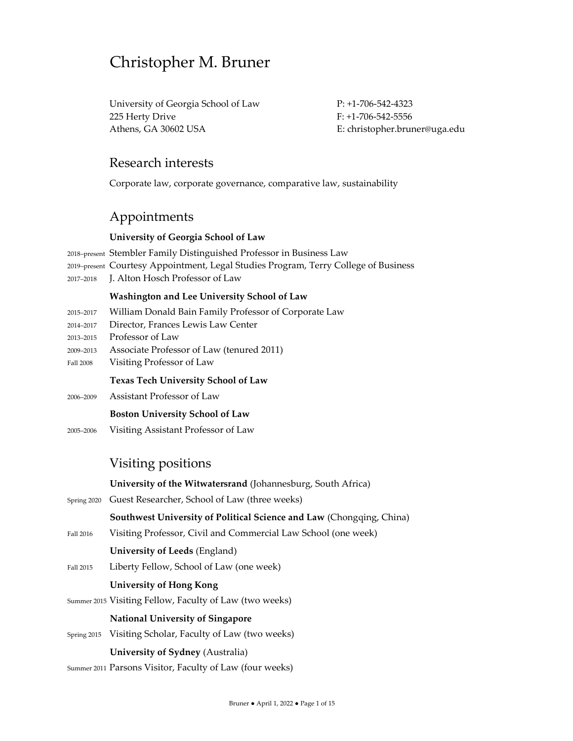# Christopher M. Bruner

University of Georgia School of Law P: +1-706-542-4323 225 Herty Drive F: +1-706-542-5556 Athens, GA 30602 USA **Example 2018** E: christopher.bruner@uga.edu

## Research interests

Corporate law, corporate governance, comparative law, sustainability

# Appointments

#### **University of Georgia School of Law**

- <sup>2018</sup>–present Stembler Family Distinguished Professor in Business Law <sup>2019</sup>–present Courtesy Appointment, Legal Studies Program, Terry College of Business
- <sup>2017</sup>–<sup>2018</sup> J. Alton Hosch Professor of Law

## **Washington and Lee University School of Law**

- <sup>2015</sup>–<sup>2017</sup> William Donald Bain Family Professor of Corporate Law
- <sup>2014</sup>–<sup>2017</sup> Director, Frances Lewis Law Center
- <sup>2013</sup>–<sup>2015</sup> Professor of Law
- <sup>2009</sup>–2013 Associate Professor of Law (tenured 2011)
- Fall 2008 Visiting Professor of Law

## **Texas Tech University School of Law**

<sup>2006</sup>–<sup>2009</sup> Assistant Professor of Law

## **Boston University School of Law**

<sup>2005</sup>–<sup>2006</sup> Visiting Assistant Professor of Law

## Visiting positions

**University of the Witwatersrand** (Johannesburg, South Africa)

Spring 2020 Guest Researcher, School of Law (three weeks)

## **Southwest University of Political Science and Law** (Chongqing, China)

- Fall 2016 Visiting Professor, Civil and Commercial Law School (one week)
	- **University of Leeds** (England)
- Fall 2015 Liberty Fellow, School of Law (one week)

## **University of Hong Kong**

Summer 2015 Visiting Fellow, Faculty of Law (two weeks)

## **National University of Singapore**

Spring 2015 Visiting Scholar, Faculty of Law (two weeks)

## **University of Sydney** (Australia)

Summer 2011 Parsons Visitor, Faculty of Law (four weeks)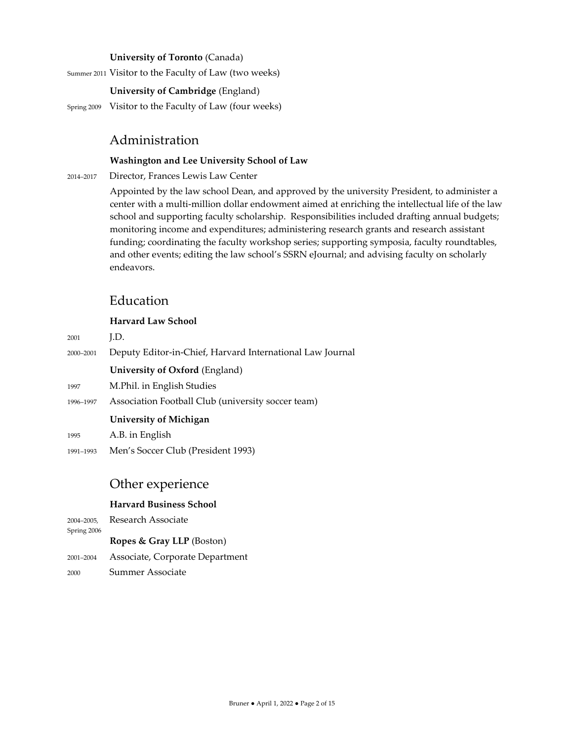#### **University of Toronto** (Canada)

Summer 2011 Visitor to the Faculty of Law (two weeks)

**University of Cambridge** (England)

Spring 2009 Visitor to the Faculty of Law (four weeks)

# Administration

#### **Washington and Lee University School of Law**

<sup>2014</sup>–<sup>2017</sup> Director, Frances Lewis Law Center

Appointed by the law school Dean, and approved by the university President, to administer a center with a multi-million dollar endowment aimed at enriching the intellectual life of the law school and supporting faculty scholarship. Responsibilities included drafting annual budgets; monitoring income and expenditures; administering research grants and research assistant funding; coordinating the faculty workshop series; supporting symposia, faculty roundtables, and other events; editing the law school's SSRN eJournal; and advising faculty on scholarly endeavors.

# Education

#### **Harvard Law School**

|           | <b>University of Michigan</b>                             |
|-----------|-----------------------------------------------------------|
| 1996-1997 | Association Football Club (university soccer team)        |
| 1997      | M.Phil. in English Studies                                |
|           | University of Oxford (England)                            |
| 2000-2001 | Deputy Editor-in-Chief, Harvard International Law Journal |
| 2001      | LD.                                                       |
|           |                                                           |

<sup>1995</sup> A.B. in English

<sup>1991</sup>–<sup>1993</sup> Men's Soccer Club (President 1993)

# Other experience

## **Harvard Business School**

<sup>2004</sup>–2005, Research Associate Spring 2006

**Ropes & Gray LLP** (Boston)

- <sup>2001</sup>–<sup>2004</sup> Associate, Corporate Department
- <sup>2000</sup> Summer Associate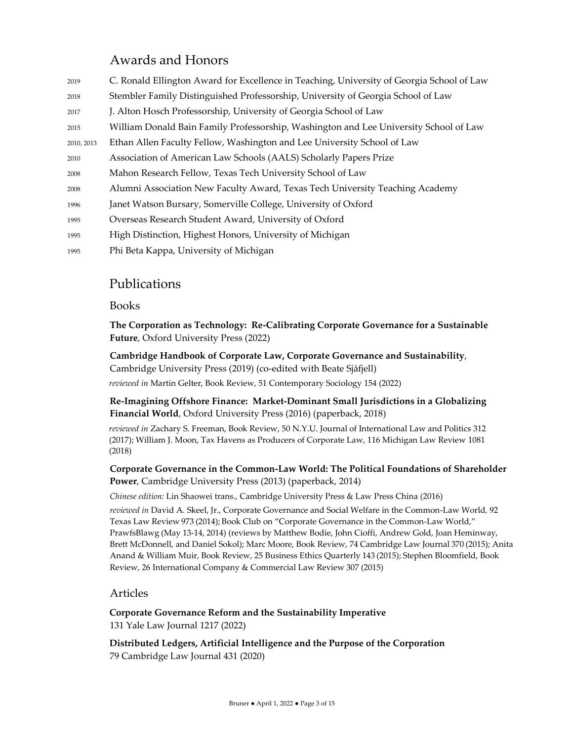# Awards and Honors

| 2019       | C. Ronald Ellington Award for Excellence in Teaching, University of Georgia School of Law |
|------------|-------------------------------------------------------------------------------------------|
| 2018       | Stembler Family Distinguished Professorship, University of Georgia School of Law          |
| 2017       | J. Alton Hosch Professorship, University of Georgia School of Law                         |
| 2015       | William Donald Bain Family Professorship, Washington and Lee University School of Law     |
| 2010, 2013 | Ethan Allen Faculty Fellow, Washington and Lee University School of Law                   |
| 2010       | Association of American Law Schools (AALS) Scholarly Papers Prize                         |
| 2008       | Mahon Research Fellow, Texas Tech University School of Law                                |
| 2008       | Alumni Association New Faculty Award, Texas Tech University Teaching Academy              |
| 1996       | Janet Watson Bursary, Somerville College, University of Oxford                            |
| 1995       | Overseas Research Student Award, University of Oxford                                     |
| 1995       | High Distinction, Highest Honors, University of Michigan                                  |
| 1995       | Phi Beta Kappa, University of Michigan                                                    |

# Publications

## Books

**The Corporation as Technology: Re-Calibrating Corporate Governance for a Sustainable Future**, Oxford University Press (2022)

**Cambridge Handbook of Corporate Law, Corporate Governance and Sustainability**, Cambridge University Press (2019) (co-edited with Beate Sjåfjell) *reviewed in* Martin Gelter, Book Review, 51 Contemporary Sociology 154 (2022)

**Re-Imagining Offshore Finance: Market-Dominant Small Jurisdictions in a Globalizing Financial World**, Oxford University Press (2016) (paperback, 2018)

*reviewed in* Zachary S. Freeman, Book Review, 50 N.Y.U. Journal of International Law and Politics 312 (2017); William J. Moon, Tax Havens as Producers of Corporate Law, 116 Michigan Law Review 1081 (2018)

## **Corporate Governance in the Common-Law World: The Political Foundations of Shareholder Power**, Cambridge University Press (2013) (paperback, 2014)

*Chinese edition:* Lin Shaowei trans., Cambridge University Press & Law Press China (2016)

*reviewed in* David A. Skeel, Jr., Corporate Governance and Social Welfare in the Common-Law World*,* 92 Texas Law Review 973 (2014); Book Club on "Corporate Governance in the Common-Law World," PrawfsBlawg (May 13-14, 2014) (reviews by Matthew Bodie, John Cioffi, Andrew Gold, Joan Heminway, Brett McDonnell, and Daniel Sokol); Marc Moore, Book Review, 74 Cambridge Law Journal 370 (2015); Anita Anand & William Muir, Book Review, 25 Business Ethics Quarterly 143 (2015); Stephen Bloomfield, Book Review, 26 International Company & Commercial Law Review 307 (2015)

## Articles

**Corporate Governance Reform and the Sustainability Imperative** 131 Yale Law Journal 1217 (2022)

**Distributed Ledgers, Artificial Intelligence and the Purpose of the Corporation** 79 Cambridge Law Journal 431 (2020)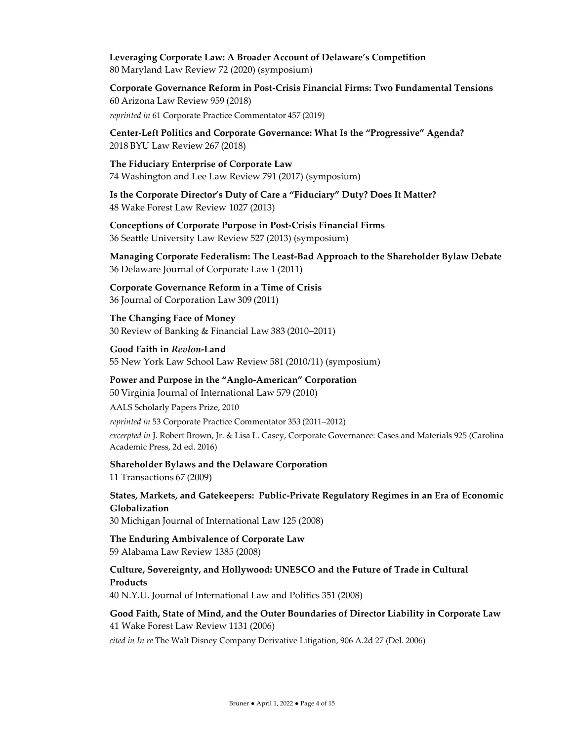#### **Leveraging Corporate Law: A Broader Account of Delaware's Competition** 80 Maryland Law Review 72 (2020) (symposium)

**Corporate Governance Reform in Post-Crisis Financial Firms: Two Fundamental Tensions** 60 Arizona Law Review 959 (2018)

*reprinted in* 61 Corporate Practice Commentator 457 (2019)

**Center-Left Politics and Corporate Governance: What Is the "Progressive" Agenda?** 2018 BYU Law Review 267 (2018)

**The Fiduciary Enterprise of Corporate Law** 74 Washington and Lee Law Review 791 (2017) (symposium)

**Is the Corporate Director's Duty of Care a "Fiduciary" Duty? Does It Matter?** 48 Wake Forest Law Review 1027 (2013)

**Conceptions of Corporate Purpose in Post-Crisis Financial Firms** 36 Seattle University Law Review 527 (2013) (symposium)

**Managing Corporate Federalism: The Least-Bad Approach to the Shareholder Bylaw Debate** 36 Delaware Journal of Corporate Law 1 (2011)

**Corporate Governance Reform in a Time of Crisis** 36 Journal of Corporation Law 309 (2011)

**The Changing Face of Money** 30 Review of Banking & Financial Law 383 (2010–2011)

**Good Faith in** *Revlon***-Land** 55 New York Law School Law Review 581 (2010/11) (symposium)

**Power and Purpose in the "Anglo-American" Corporation** 50 Virginia Journal of International Law 579 (2010)

AALS Scholarly Papers Prize, 2010 *reprinted in* 53 Corporate Practice Commentator 353 (2011–2012) *excerpted in* J. Robert Brown, Jr. & Lisa L. Casey, Corporate Governance: Cases and Materials 925 (Carolina Academic Press, 2d ed. 2016)

#### **Shareholder Bylaws and the Delaware Corporation**

11 Transactions 67 (2009)

**States, Markets, and Gatekeepers: Public-Private Regulatory Regimes in an Era of Economic Globalization**

30 Michigan Journal of International Law 125 (2008)

**The Enduring Ambivalence of Corporate Law** 59 Alabama Law Review 1385 (2008)

**Culture, Sovereignty, and Hollywood: UNESCO and the Future of Trade in Cultural Products**

40 N.Y.U. Journal of International Law and Politics 351 (2008)

**Good Faith, State of Mind, and the Outer Boundaries of Director Liability in Corporate Law** 41 Wake Forest Law Review 1131 (2006)

*cited in In re* The Walt Disney Company Derivative Litigation, 906 A.2d 27 (Del. 2006)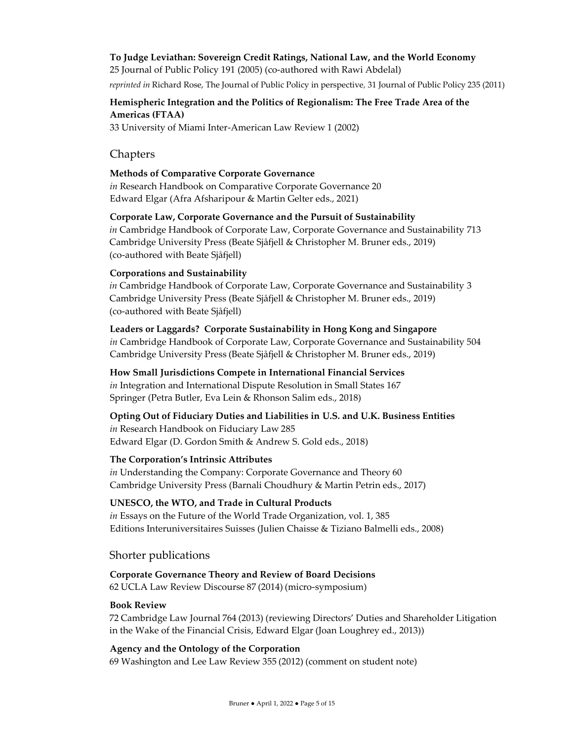## **To Judge Leviathan: Sovereign Credit Ratings, National Law, and the World Economy**

25 Journal of Public Policy 191 (2005) (co-authored with Rawi Abdelal)

*reprinted in* Richard Rose, The Journal of Public Policy in perspective*,* 31 Journal of Public Policy 235 (2011)

## **Hemispheric Integration and the Politics of Regionalism: The Free Trade Area of the Americas (FTAA)**

33 University of Miami Inter-American Law Review 1 (2002)

## Chapters

#### **Methods of Comparative Corporate Governance**

*in* Research Handbook on Comparative Corporate Governance 20 Edward Elgar (Afra Afsharipour & Martin Gelter eds., 2021)

#### **Corporate Law, Corporate Governance and the Pursuit of Sustainability**

*in* Cambridge Handbook of Corporate Law, Corporate Governance and Sustainability 713 Cambridge University Press (Beate Sjåfjell & Christopher M. Bruner eds., 2019) (co-authored with Beate Sjåfjell)

#### **Corporations and Sustainability**

*in* Cambridge Handbook of Corporate Law, Corporate Governance and Sustainability 3 Cambridge University Press (Beate Sjåfjell & Christopher M. Bruner eds., 2019) (co-authored with Beate Sjåfjell)

## **Leaders or Laggards? Corporate Sustainability in Hong Kong and Singapore**

*in* Cambridge Handbook of Corporate Law, Corporate Governance and Sustainability 504 Cambridge University Press (Beate Sjåfjell & Christopher M. Bruner eds., 2019)

#### **How Small Jurisdictions Compete in International Financial Services**

*in* Integration and International Dispute Resolution in Small States 167 Springer (Petra Butler, Eva Lein & Rhonson Salim eds., 2018)

## **Opting Out of Fiduciary Duties and Liabilities in U.S. and U.K. Business Entities** *in* Research Handbook on Fiduciary Law 285 Edward Elgar (D. Gordon Smith & Andrew S. Gold eds., 2018)

## **The Corporation's Intrinsic Attributes**

*in* Understanding the Company: Corporate Governance and Theory 60 Cambridge University Press (Barnali Choudhury & Martin Petrin eds., 2017)

## **UNESCO, the WTO, and Trade in Cultural Products**

*in* Essays on the Future of the World Trade Organization, vol. 1, 385 Editions Interuniversitaires Suisses (Julien Chaisse & Tiziano Balmelli eds., 2008)

Shorter publications

## **Corporate Governance Theory and Review of Board Decisions**

62 UCLA Law Review Discourse 87 (2014) (micro-symposium)

#### **Book Review**

72 Cambridge Law Journal 764 (2013) (reviewing Directors' Duties and Shareholder Litigation in the Wake of the Financial Crisis, Edward Elgar (Joan Loughrey ed., 2013))

## **Agency and the Ontology of the Corporation**

69 Washington and Lee Law Review 355 (2012) (comment on student note)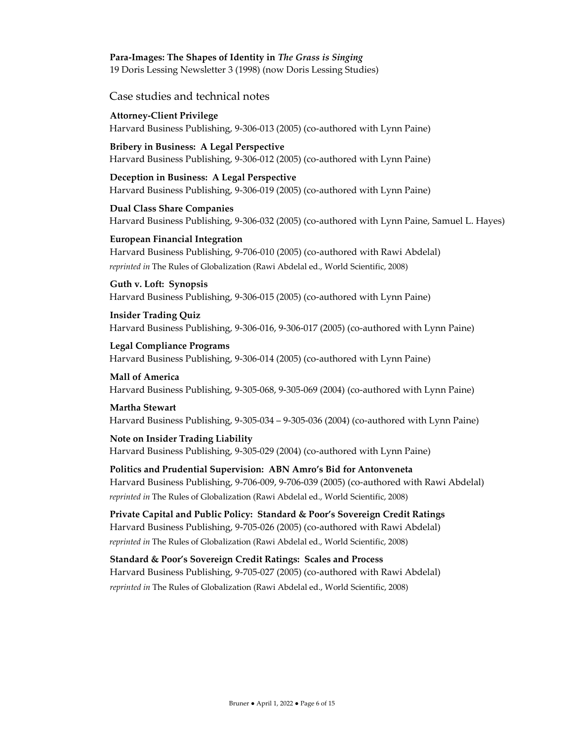# **Para-Images: The Shapes of Identity in** *The Grass is Singing*

19 Doris Lessing Newsletter 3 (1998) (now Doris Lessing Studies)

Case studies and technical notes

**Attorney-Client Privilege** Harvard Business Publishing, 9-306-013 (2005) (co-authored with Lynn Paine)

**Bribery in Business: A Legal Perspective** Harvard Business Publishing, 9-306-012 (2005) (co-authored with Lynn Paine)

**Deception in Business: A Legal Perspective** Harvard Business Publishing, 9-306-019 (2005) (co-authored with Lynn Paine)

**Dual Class Share Companies** Harvard Business Publishing, 9-306-032 (2005) (co-authored with Lynn Paine, Samuel L. Hayes)

**European Financial Integration** Harvard Business Publishing, 9-706-010 (2005) (co-authored with Rawi Abdelal) *reprinted in* The Rules of Globalization (Rawi Abdelal ed., World Scientific, 2008)

**Guth v. Loft: Synopsis** Harvard Business Publishing, 9-306-015 (2005) (co-authored with Lynn Paine)

**Insider Trading Quiz** Harvard Business Publishing, 9-306-016, 9-306-017 (2005) (co-authored with Lynn Paine)

**Legal Compliance Programs** Harvard Business Publishing, 9-306-014 (2005) (co-authored with Lynn Paine)

**Mall of America** Harvard Business Publishing, 9-305-068, 9-305-069 (2004) (co-authored with Lynn Paine)

## **Martha Stewart**

Harvard Business Publishing, 9-305-034 – 9-305-036 (2004) (co-authored with Lynn Paine)

#### **Note on Insider Trading Liability**

Harvard Business Publishing, 9-305-029 (2004) (co-authored with Lynn Paine)

**Politics and Prudential Supervision: ABN Amro's Bid for Antonveneta** Harvard Business Publishing, 9-706-009, 9-706-039 (2005) (co-authored with Rawi Abdelal) *reprinted in* The Rules of Globalization (Rawi Abdelal ed., World Scientific, 2008)

**Private Capital and Public Policy: Standard & Poor's Sovereign Credit Ratings** Harvard Business Publishing, 9-705-026 (2005) (co-authored with Rawi Abdelal) *reprinted in* The Rules of Globalization (Rawi Abdelal ed., World Scientific, 2008)

**Standard & Poor's Sovereign Credit Ratings: Scales and Process** Harvard Business Publishing, 9-705-027 (2005) (co-authored with Rawi Abdelal) *reprinted in* The Rules of Globalization (Rawi Abdelal ed., World Scientific, 2008)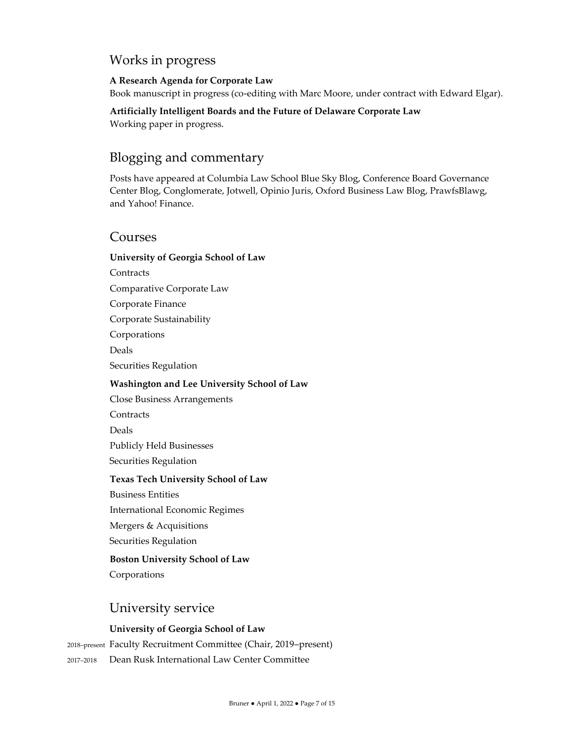## Works in progress

#### **A Research Agenda for Corporate Law**

Book manuscript in progress (co-editing with Marc Moore, under contract with Edward Elgar).

**Artificially Intelligent Boards and the Future of Delaware Corporate Law** Working paper in progress.

# Blogging and commentary

Posts have appeared at Columbia Law School Blue Sky Blog, Conference Board Governance Center Blog, Conglomerate, Jotwell, Opinio Juris, Oxford Business Law Blog, PrawfsBlawg, and Yahoo! Finance.

## Courses

#### **University of Georgia School of Law**

**Contracts** Comparative Corporate Law Corporate Finance Corporate Sustainability Corporations Deals Securities Regulation **Washington and Lee University School of Law** Close Business Arrangements **Contracts** Deals Publicly Held Businesses Securities Regulation **Texas Tech University School of Law** Business Entities International Economic Regimes Mergers & Acquisitions Securities Regulation **Boston University School of Law** Corporations

## University service

## **University of Georgia School of Law**

<sup>2018</sup>–present Faculty Recruitment Committee (Chair, 2019–present)

<sup>2017</sup>–<sup>2018</sup> Dean Rusk International Law Center Committee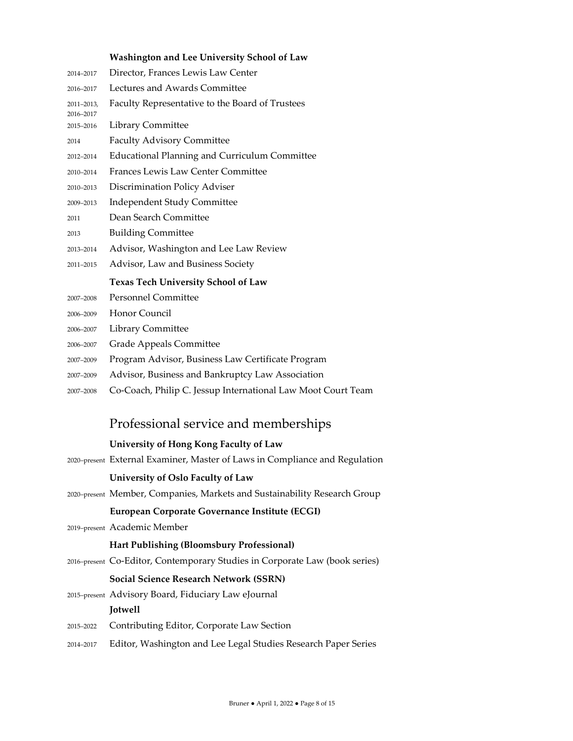#### **Washington and Lee University School of Law**

| 2014-2017               | Director, Frances Lewis Law Center                   |
|-------------------------|------------------------------------------------------|
| 2016-2017               | Lectures and Awards Committee                        |
| 2011-2013,<br>2016-2017 | Faculty Representative to the Board of Trustees      |
| 2015-2016               | <b>Library Committee</b>                             |
| 2014                    | <b>Faculty Advisory Committee</b>                    |
| 2012-2014               | <b>Educational Planning and Curriculum Committee</b> |
| 2010-2014               | <b>Frances Lewis Law Center Committee</b>            |
| 2010-2013               | Discrimination Policy Adviser                        |
| 2009-2013               | <b>Independent Study Committee</b>                   |
| 2011                    | Dean Search Committee                                |
| 2013                    | <b>Building Committee</b>                            |
| 2013-2014               | Advisor, Washington and Lee Law Review               |
| 2011-2015               | Advisor, Law and Business Society                    |
|                         | <b>Texas Tech University School of Law</b>           |
| 2007-2008               | <b>Personnel Committee</b>                           |
| 2006-2009               | Honor Council                                        |
| 2006-2007               | Library Committee                                    |
| 2006-2007               | Grade Appeals Committee                              |
| 2007-2009               | Program Advisor, Business Law Certificate Program    |
| 2007-2009               | Advisor, Business and Bankruptcy Law Association     |

–<sup>2008</sup> Co-Coach, Philip C. Jessup International Law Moot Court Team

## Professional service and memberships

#### **University of Hong Kong Faculty of Law**

–present External Examiner, Master of Laws in Compliance and Regulation

#### **University of Oslo Faculty of Law**

–present Member, Companies, Markets and Sustainability Research Group

#### **European Corporate Governance Institute (ECGI)**

–present Academic Member

#### **Hart Publishing (Bloomsbury Professional)**

–present Co-Editor, Contemporary Studies in Corporate Law (book series)

#### **Social Science Research Network (SSRN)**

- –present Advisory Board, Fiduciary Law eJournal **Jotwell**
- –<sup>2022</sup> Contributing Editor, Corporate Law Section
- –<sup>2017</sup> Editor, Washington and Lee Legal Studies Research Paper Series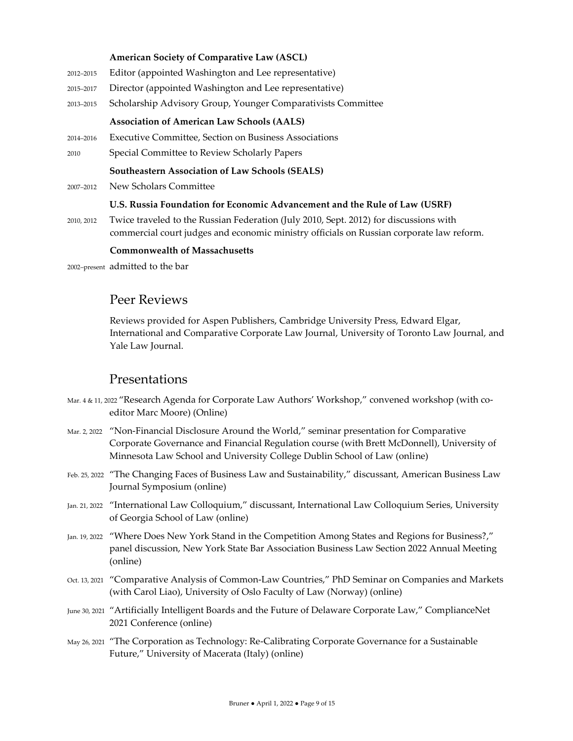#### **American Society of Comparative Law (ASCL)**

- <sup>2012</sup>–<sup>2015</sup> Editor (appointed Washington and Lee representative)
- <sup>2015</sup>–<sup>2017</sup> Director (appointed Washington and Lee representative)
- <sup>2013</sup>–<sup>2015</sup> Scholarship Advisory Group, Younger Comparativists Committee

#### **Association of American Law Schools (AALS)**

- <sup>2014</sup>–<sup>2016</sup> Executive Committee, Section on Business Associations
- <sup>2010</sup> Special Committee to Review Scholarly Papers

#### **Southeastern Association of Law Schools (SEALS)**

<sup>2007</sup>–<sup>2012</sup> New Scholars Committee

#### **U.S. Russia Foundation for Economic Advancement and the Rule of Law (USRF)**

2010, 2012 Twice traveled to the Russian Federation (July 2010, Sept. 2012) for discussions with commercial court judges and economic ministry officials on Russian corporate law reform.

#### **Commonwealth of Massachusetts**

<sup>2002</sup>–present admitted to the bar

## Peer Reviews

Reviews provided for Aspen Publishers, Cambridge University Press, Edward Elgar, International and Comparative Corporate Law Journal, University of Toronto Law Journal, and Yale Law Journal.

## Presentations

- Mar. 4 & 11, 2022 "Research Agenda for Corporate Law Authors' Workshop," convened workshop (with coeditor Marc Moore) (Online)
- Mar. 2, 2022 "Non-Financial Disclosure Around the World," seminar presentation for Comparative Corporate Governance and Financial Regulation course (with Brett McDonnell), University of Minnesota Law School and University College Dublin School of Law (online)
- Feb. 25, 2022 "The Changing Faces of Business Law and Sustainability," discussant, American Business Law Journal Symposium (online)
- Jan. 21, 2022 "International Law Colloquium," discussant, International Law Colloquium Series, University of Georgia School of Law (online)
- Jan. 19, 2022 "Where Does New York Stand in the Competition Among States and Regions for Business?," panel discussion, New York State Bar Association Business Law Section 2022 Annual Meeting (online)
- Oct. 13, 2021 "Comparative Analysis of Common-Law Countries," PhD Seminar on Companies and Markets (with Carol Liao), University of Oslo Faculty of Law (Norway) (online)
- June 30, 2021 "Artificially Intelligent Boards and the Future of Delaware Corporate Law," ComplianceNet 2021 Conference (online)
- May 26, 2021 "The Corporation as Technology: Re-Calibrating Corporate Governance for a Sustainable Future," University of Macerata (Italy) (online)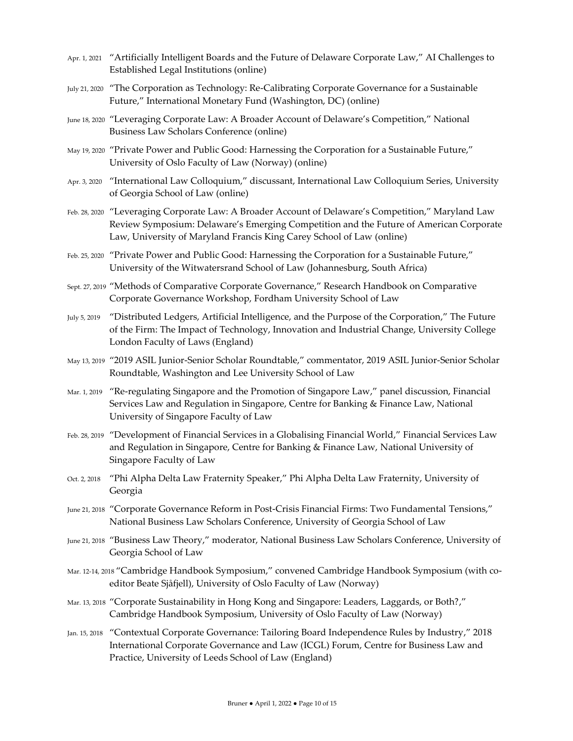- Apr. 1, 2021 "Artificially Intelligent Boards and the Future of Delaware Corporate Law," AI Challenges to Established Legal Institutions (online)
- July 21, 2020 "The Corporation as Technology: Re-Calibrating Corporate Governance for a Sustainable Future," International Monetary Fund (Washington, DC) (online)
- June 18, 2020 "Leveraging Corporate Law: A Broader Account of Delaware's Competition," National Business Law Scholars Conference (online)
- May 19, 2020 "Private Power and Public Good: Harnessing the Corporation for a Sustainable Future," University of Oslo Faculty of Law (Norway) (online)
- Apr. 3, 2020 "International Law Colloquium," discussant, International Law Colloquium Series, University of Georgia School of Law (online)
- Feb. 28, 2020 "Leveraging Corporate Law: A Broader Account of Delaware's Competition," Maryland Law Review Symposium: Delaware's Emerging Competition and the Future of American Corporate Law, University of Maryland Francis King Carey School of Law (online)
- Feb. 25, 2020 "Private Power and Public Good: Harnessing the Corporation for a Sustainable Future," University of the Witwatersrand School of Law (Johannesburg, South Africa)
- Sept. 27, 2019 "Methods of Comparative Corporate Governance," Research Handbook on Comparative Corporate Governance Workshop, Fordham University School of Law
- July 5, 2019 "Distributed Ledgers, Artificial Intelligence, and the Purpose of the Corporation," The Future of the Firm: The Impact of Technology, Innovation and Industrial Change, University College London Faculty of Laws (England)
- May 13, 2019 "2019 ASIL Junior-Senior Scholar Roundtable," commentator, 2019 ASIL Junior-Senior Scholar Roundtable, Washington and Lee University School of Law
- Mar. 1, 2019 "Re-regulating Singapore and the Promotion of Singapore Law," panel discussion, Financial Services Law and Regulation in Singapore, Centre for Banking & Finance Law, National University of Singapore Faculty of Law
- Feb. 28, 2019 "Development of Financial Services in a Globalising Financial World," Financial Services Law and Regulation in Singapore, Centre for Banking & Finance Law, National University of Singapore Faculty of Law
- Oct. 2, 2018 "Phi Alpha Delta Law Fraternity Speaker," Phi Alpha Delta Law Fraternity, University of Georgia
- June 21, 2018 "Corporate Governance Reform in Post-Crisis Financial Firms: Two Fundamental Tensions," National Business Law Scholars Conference, University of Georgia School of Law
- June 21, 2018 "Business Law Theory," moderator, National Business Law Scholars Conference, University of Georgia School of Law
- Mar. 12-14, 2018 "Cambridge Handbook Symposium," convened Cambridge Handbook Symposium (with coeditor Beate Sjåfjell), University of Oslo Faculty of Law (Norway)
- Mar. 13, 2018 "Corporate Sustainability in Hong Kong and Singapore: Leaders, Laggards, or Both?," Cambridge Handbook Symposium, University of Oslo Faculty of Law (Norway)
- Jan. 15, 2018 "Contextual Corporate Governance: Tailoring Board Independence Rules by Industry," 2018 International Corporate Governance and Law (ICGL) Forum, Centre for Business Law and Practice, University of Leeds School of Law (England)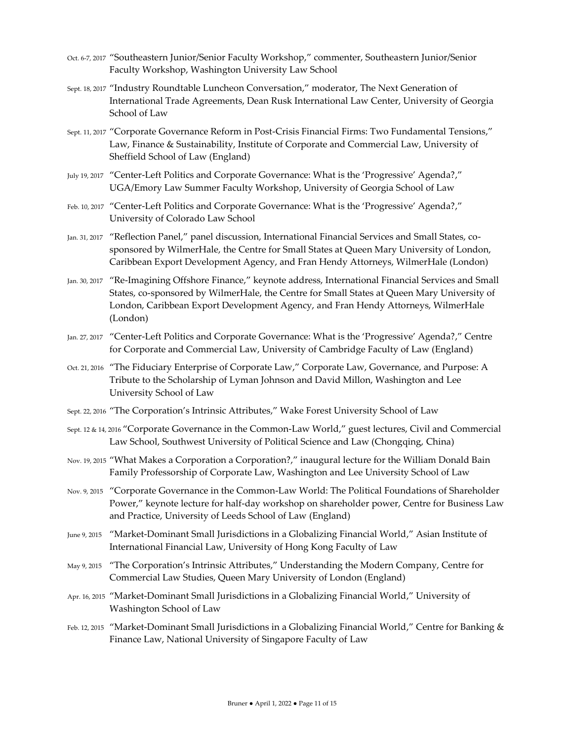- Oct. 6-7, 2017 "Southeastern Junior/Senior Faculty Workshop," commenter, Southeastern Junior/Senior Faculty Workshop, Washington University Law School
- Sept. 18, 2017 "Industry Roundtable Luncheon Conversation," moderator, The Next Generation of International Trade Agreements, Dean Rusk International Law Center, University of Georgia School of Law
- Sept. 11, 2017 "Corporate Governance Reform in Post-Crisis Financial Firms: Two Fundamental Tensions," Law, Finance & Sustainability, Institute of Corporate and Commercial Law, University of Sheffield School of Law (England)
- July 19, 2017 "Center-Left Politics and Corporate Governance: What is the 'Progressive' Agenda?," UGA/Emory Law Summer Faculty Workshop, University of Georgia School of Law
- Feb. 10, 2017 "Center-Left Politics and Corporate Governance: What is the 'Progressive' Agenda?," University of Colorado Law School
- Jan. 31, 2017 "Reflection Panel," panel discussion, International Financial Services and Small States, cosponsored by WilmerHale, the Centre for Small States at Queen Mary University of London, Caribbean Export Development Agency, and Fran Hendy Attorneys, WilmerHale (London)
- Jan. 30, 2017 "Re-Imagining Offshore Finance," keynote address, International Financial Services and Small States, co-sponsored by WilmerHale, the Centre for Small States at Queen Mary University of London, Caribbean Export Development Agency, and Fran Hendy Attorneys, WilmerHale (London)
- Jan. 27, 2017 "Center-Left Politics and Corporate Governance: What is the 'Progressive' Agenda?," Centre for Corporate and Commercial Law, University of Cambridge Faculty of Law (England)
- Oct. 21, 2016 "The Fiduciary Enterprise of Corporate Law," Corporate Law, Governance, and Purpose: A Tribute to the Scholarship of Lyman Johnson and David Millon, Washington and Lee University School of Law
- Sept. 22, 2016 "The Corporation's Intrinsic Attributes," Wake Forest University School of Law
- Sept. 12 & 14, 2016 "Corporate Governance in the Common-Law World," guest lectures, Civil and Commercial Law School, Southwest University of Political Science and Law (Chongqing, China)
- Nov. 19, 2015 "What Makes a Corporation a Corporation?," inaugural lecture for the William Donald Bain Family Professorship of Corporate Law, Washington and Lee University School of Law
- Nov. 9, 2015 "Corporate Governance in the Common-Law World: The Political Foundations of Shareholder Power," keynote lecture for half-day workshop on shareholder power, Centre for Business Law and Practice, University of Leeds School of Law (England)
- June 9, 2015 "Market-Dominant Small Jurisdictions in a Globalizing Financial World," Asian Institute of International Financial Law, University of Hong Kong Faculty of Law
- May 9, 2015 "The Corporation's Intrinsic Attributes," Understanding the Modern Company, Centre for Commercial Law Studies, Queen Mary University of London (England)
- Apr. 16, 2015 "Market-Dominant Small Jurisdictions in a Globalizing Financial World," University of Washington School of Law
- Feb. 12, 2015 "Market-Dominant Small Jurisdictions in a Globalizing Financial World," Centre for Banking & Finance Law, National University of Singapore Faculty of Law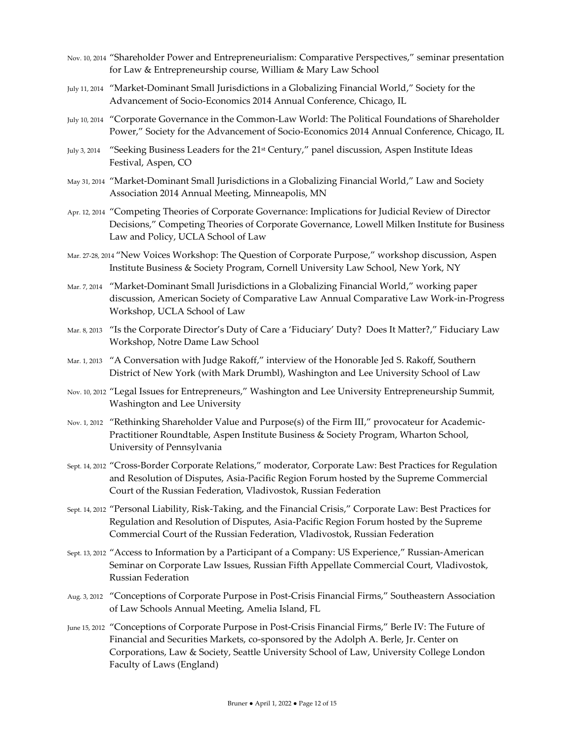- Nov. 10, 2014 "Shareholder Power and Entrepreneurialism: Comparative Perspectives," seminar presentation for Law & Entrepreneurship course, William & Mary Law School
- July 11, 2014 "Market-Dominant Small Jurisdictions in a Globalizing Financial World," Society for the Advancement of Socio-Economics 2014 Annual Conference, Chicago, IL
- July 10, 2014 "Corporate Governance in the Common-Law World: The Political Foundations of Shareholder Power," Society for the Advancement of Socio-Economics 2014 Annual Conference, Chicago, IL
- July 3, 2014 "Seeking Business Leaders for the 21<sup>st</sup> Century," panel discussion, Aspen Institute Ideas Festival, Aspen, CO
- May 31, 2014 "Market-Dominant Small Jurisdictions in a Globalizing Financial World," Law and Society Association 2014 Annual Meeting, Minneapolis, MN
- Apr. 12, 2014 "Competing Theories of Corporate Governance: Implications for Judicial Review of Director Decisions," Competing Theories of Corporate Governance, Lowell Milken Institute for Business Law and Policy, UCLA School of Law
- Mar. 27-28, 2014 "New Voices Workshop: The Question of Corporate Purpose," workshop discussion, Aspen Institute Business & Society Program, Cornell University Law School, New York, NY
- Mar. 7, 2014 "Market-Dominant Small Jurisdictions in a Globalizing Financial World," working paper discussion, American Society of Comparative Law Annual Comparative Law Work-in-Progress Workshop, UCLA School of Law
- Mar. 8, 2013 "Is the Corporate Director's Duty of Care a 'Fiduciary' Duty? Does It Matter?," Fiduciary Law Workshop, Notre Dame Law School
- Mar. 1, 2013 "A Conversation with Judge Rakoff," interview of the Honorable Jed S. Rakoff, Southern District of New York (with Mark Drumbl), Washington and Lee University School of Law
- Nov. 10, 2012 "Legal Issues for Entrepreneurs," Washington and Lee University Entrepreneurship Summit, Washington and Lee University
- Nov. 1, 2012 "Rethinking Shareholder Value and Purpose(s) of the Firm III," provocateur for Academic-Practitioner Roundtable, Aspen Institute Business & Society Program, Wharton School, University of Pennsylvania
- Sept. 14, 2012 "Cross-Border Corporate Relations," moderator, Corporate Law: Best Practices for Regulation and Resolution of Disputes, Asia-Pacific Region Forum hosted by the Supreme Commercial Court of the Russian Federation, Vladivostok, Russian Federation
- Sept. 14, 2012 "Personal Liability, Risk-Taking, and the Financial Crisis," Corporate Law: Best Practices for Regulation and Resolution of Disputes, Asia-Pacific Region Forum hosted by the Supreme Commercial Court of the Russian Federation, Vladivostok, Russian Federation
- Sept. 13, 2012 "Access to Information by a Participant of a Company: US Experience," Russian-American Seminar on Corporate Law Issues, Russian Fifth Appellate Commercial Court, Vladivostok, Russian Federation
- Aug. 3, 2012 "Conceptions of Corporate Purpose in Post-Crisis Financial Firms," Southeastern Association of Law Schools Annual Meeting, Amelia Island, FL
- June 15, 2012 "Conceptions of Corporate Purpose in Post-Crisis Financial Firms," Berle IV: The Future of Financial and Securities Markets, co-sponsored by the Adolph A. Berle, Jr. Center on Corporations, Law & Society, Seattle University School of Law, University College London Faculty of Laws (England)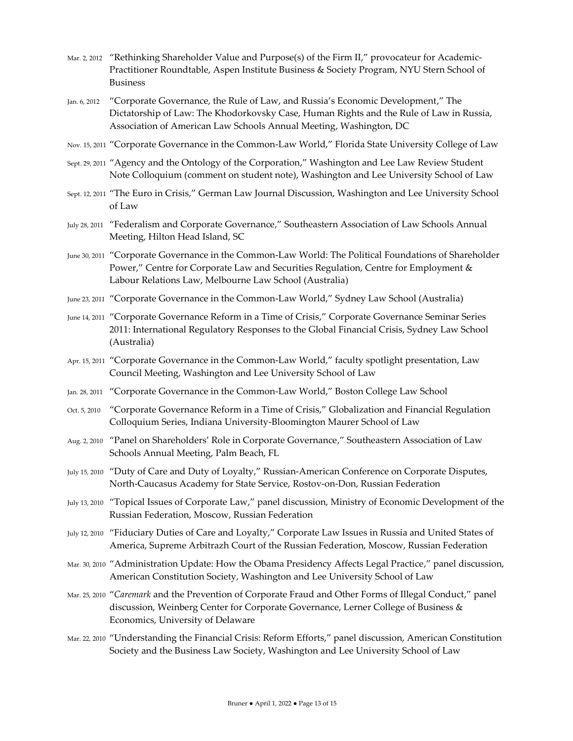- Mar. 2, 2012 "Rethinking Shareholder Value and Purpose(s) of the Firm II," provocateur for Academic-Practitioner Roundtable, Aspen Institute Business & Society Program, NYU Stern School of Business
- Jan. 6, 2012 "Corporate Governance, the Rule of Law, and Russia's Economic Development," The Dictatorship of Law: The Khodorkovsky Case, Human Rights and the Rule of Law in Russia, Association of American Law Schools Annual Meeting, Washington, DC
- Nov. 15, 2011 "Corporate Governance in the Common-Law World," Florida State University College of Law
- Sept. 29, 2011 "Agency and the Ontology of the Corporation," Washington and Lee Law Review Student Note Colloquium (comment on student note), Washington and Lee University School of Law
- Sept. 12, 2011 "The Euro in Crisis," German Law Journal Discussion, Washington and Lee University School of Law
- July 28, 2011 "Federalism and Corporate Governance," Southeastern Association of Law Schools Annual Meeting, Hilton Head Island, SC
- June 30, 2011 "Corporate Governance in the Common-Law World: The Political Foundations of Shareholder Power," Centre for Corporate Law and Securities Regulation, Centre for Employment & Labour Relations Law, Melbourne Law School (Australia)
- June 23, 2011 "Corporate Governance in the Common-Law World," Sydney Law School (Australia)
- June 14, 2011 "Corporate Governance Reform in a Time of Crisis," Corporate Governance Seminar Series 2011: International Regulatory Responses to the Global Financial Crisis, Sydney Law School (Australia)
- Apr. 15, 2011 "Corporate Governance in the Common-Law World," faculty spotlight presentation, Law Council Meeting, Washington and Lee University School of Law
- Jan. 28, 2011 "Corporate Governance in the Common-Law World," Boston College Law School
- Oct. 5, 2010 "Corporate Governance Reform in a Time of Crisis," Globalization and Financial Regulation Colloquium Series, Indiana University-Bloomington Maurer School of Law
- Aug. 2, 2010 "Panel on Shareholders' Role in Corporate Governance," Southeastern Association of Law Schools Annual Meeting, Palm Beach, FL
- July 15, 2010 "Duty of Care and Duty of Loyalty," Russian-American Conference on Corporate Disputes, North-Caucasus Academy for State Service, Rostov-on-Don, Russian Federation
- July 13, 2010 "Topical Issues of Corporate Law," panel discussion, Ministry of Economic Development of the Russian Federation, Moscow, Russian Federation
- July 12, 2010 "Fiduciary Duties of Care and Loyalty," Corporate Law Issues in Russia and United States of America, Supreme Arbitrazh Court of the Russian Federation, Moscow, Russian Federation
- Mar. 30, 2010 "Administration Update: How the Obama Presidency Affects Legal Practice," panel discussion, American Constitution Society, Washington and Lee University School of Law
- Mar. 25, 2010 "*Caremark* and the Prevention of Corporate Fraud and Other Forms of Illegal Conduct," panel discussion, Weinberg Center for Corporate Governance, Lerner College of Business & Economics, University of Delaware
- Mar. 22, 2010 "Understanding the Financial Crisis: Reform Efforts," panel discussion, American Constitution Society and the Business Law Society, Washington and Lee University School of Law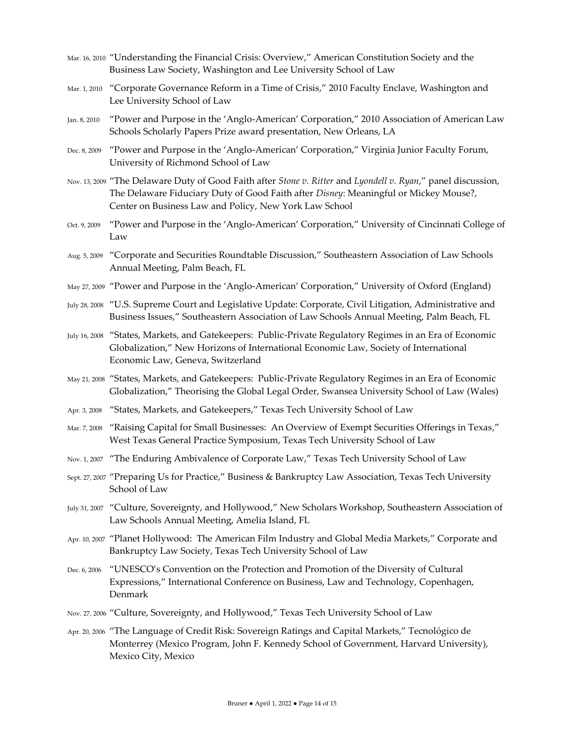- Mar. 16, 2010 "Understanding the Financial Crisis: Overview," American Constitution Society and the Business Law Society, Washington and Lee University School of Law
- Mar. 1, 2010 "Corporate Governance Reform in a Time of Crisis," 2010 Faculty Enclave, Washington and Lee University School of Law
- Jan. 8, 2010 "Power and Purpose in the 'Anglo-American' Corporation," 2010 Association of American Law Schools Scholarly Papers Prize award presentation, New Orleans, LA
- Dec. 8, 2009 "Power and Purpose in the 'Anglo-American' Corporation," Virginia Junior Faculty Forum, University of Richmond School of Law
- Nov. 13, 2009 "The Delaware Duty of Good Faith after *Stone v. Ritter* and *Lyondell v. Ryan*," panel discussion, The Delaware Fiduciary Duty of Good Faith after *Disney*: Meaningful or Mickey Mouse?, Center on Business Law and Policy, New York Law School
- Oct. 9, 2009 "Power and Purpose in the 'Anglo-American' Corporation," University of Cincinnati College of Law
- Aug. 5, 2009 "Corporate and Securities Roundtable Discussion," Southeastern Association of Law Schools Annual Meeting, Palm Beach, FL
- May 27, 2009 "Power and Purpose in the 'Anglo-American' Corporation," University of Oxford (England)
- July 28, 2008 "U.S. Supreme Court and Legislative Update: Corporate, Civil Litigation, Administrative and Business Issues," Southeastern Association of Law Schools Annual Meeting, Palm Beach, FL
- July 16, 2008 "States, Markets, and Gatekeepers: Public-Private Regulatory Regimes in an Era of Economic Globalization," New Horizons of International Economic Law, Society of International Economic Law, Geneva, Switzerland
- May 21, 2008 "States, Markets, and Gatekeepers: Public-Private Regulatory Regimes in an Era of Economic Globalization," Theorising the Global Legal Order, Swansea University School of Law (Wales)
- Apr. 3, 2008 "States, Markets, and Gatekeepers," Texas Tech University School of Law
- Mar. 7, 2008 "Raising Capital for Small Businesses: An Overview of Exempt Securities Offerings in Texas," West Texas General Practice Symposium, Texas Tech University School of Law
- Nov. 1, 2007 "The Enduring Ambivalence of Corporate Law," Texas Tech University School of Law
- Sept. 27, 2007 "Preparing Us for Practice," Business & Bankruptcy Law Association, Texas Tech University School of Law
- July 31, 2007 "Culture, Sovereignty, and Hollywood," New Scholars Workshop, Southeastern Association of Law Schools Annual Meeting, Amelia Island, FL
- Apr. 10, 2007 "Planet Hollywood: The American Film Industry and Global Media Markets," Corporate and Bankruptcy Law Society, Texas Tech University School of Law
- Dec. 6, 2006 "UNESCO's Convention on the Protection and Promotion of the Diversity of Cultural Expressions," International Conference on Business, Law and Technology, Copenhagen, Denmark
- Nov. 27, 2006 "Culture, Sovereignty, and Hollywood," Texas Tech University School of Law
- Apr. 20, 2006 "The Language of Credit Risk: Sovereign Ratings and Capital Markets," Tecnológico de Monterrey (Mexico Program, John F. Kennedy School of Government, Harvard University), Mexico City, Mexico